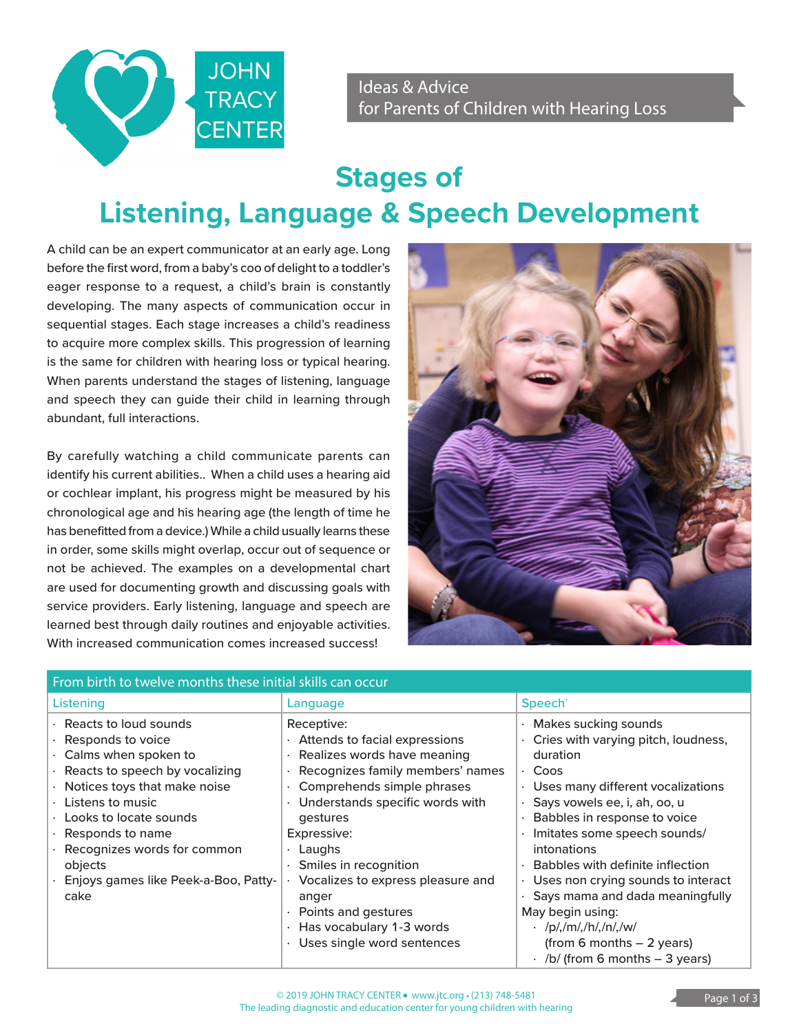

Ideas & Advice for Parents of Children with Hearing Loss

## **Stages of Listening, Language & Speech Development**

A child can be an expert communicator at an early age. Long before the first word, from a baby's coo of delight to a toddler's eager response to a request, a child's brain is constantly developing. The many aspects of communication occur in sequential stages. Each stage increases a child's readiness to acquire more complex skills. This progression of learning is the same for children with hearing loss or typical hearing. When parents understand the stages of listening, language and speech they can guide their child in learning through abundant, full interactions.

By carefully watching a child communicate parents can identify his current abilities.. When a child uses a hearing aid or cochlear implant, his progress might be measured by his chronological age and his hearing age (the length of time he has benefitted from a device.) While a child usually learns these in order, some skills might overlap, occur out of sequence or not be achieved. The examples on a developmental chart are used for documenting growth and discussing goals with service providers. Early listening, language and speech are learned best through daily routines and enjoyable activities. With increased communication comes increased success!



| From birth to twelve months these initial skills can occur                                                                                                                                                                                                                               |                                                                                                                                                                                                                                                                                    |                                                                                                                                                                                                                                                                                                                                     |
|------------------------------------------------------------------------------------------------------------------------------------------------------------------------------------------------------------------------------------------------------------------------------------------|------------------------------------------------------------------------------------------------------------------------------------------------------------------------------------------------------------------------------------------------------------------------------------|-------------------------------------------------------------------------------------------------------------------------------------------------------------------------------------------------------------------------------------------------------------------------------------------------------------------------------------|
| Listening                                                                                                                                                                                                                                                                                | Language                                                                                                                                                                                                                                                                           | Speech <sup>+</sup>                                                                                                                                                                                                                                                                                                                 |
| Reacts to loud sounds<br>Responds to voice<br>Calms when spoken to<br>Reacts to speech by vocalizing<br>Notices toys that make noise<br>Listens to music<br>Looks to locate sounds<br>Responds to name<br>Recognizes words for common<br>objects<br>Enjoys games like Peek-a-Boo, Patty- | Receptive:<br>Attends to facial expressions<br>Realizes words have meaning<br>Recognizes family members' names<br>Comprehends simple phrases<br>Understands specific words with<br>gestures<br>Expressive:<br>Laughs<br>Smiles in recognition<br>Vocalizes to express pleasure and | Makes sucking sounds<br>Cries with varying pitch, loudness,<br>duration<br>· Coos<br>Uses many different vocalizations<br>$\bullet$<br>Says vowels ee, i, ah, oo, u<br>Babbles in response to voice<br>Imitates some speech sounds/<br><i>intonations</i><br>Babbles with definite inflection<br>Uses non crying sounds to interact |
| cake                                                                                                                                                                                                                                                                                     | anger<br>Points and gestures<br>Has vocabulary 1-3 words<br>Uses single word sentences                                                                                                                                                                                             | Says mama and dada meaningfully<br>May begin using:<br>$\cdot$ /p/,/m/,/h/,/n/,/w/<br>$(from 6 months - 2 years)$<br>$\cdot$ /b/ (from 6 months - 3 years)                                                                                                                                                                          |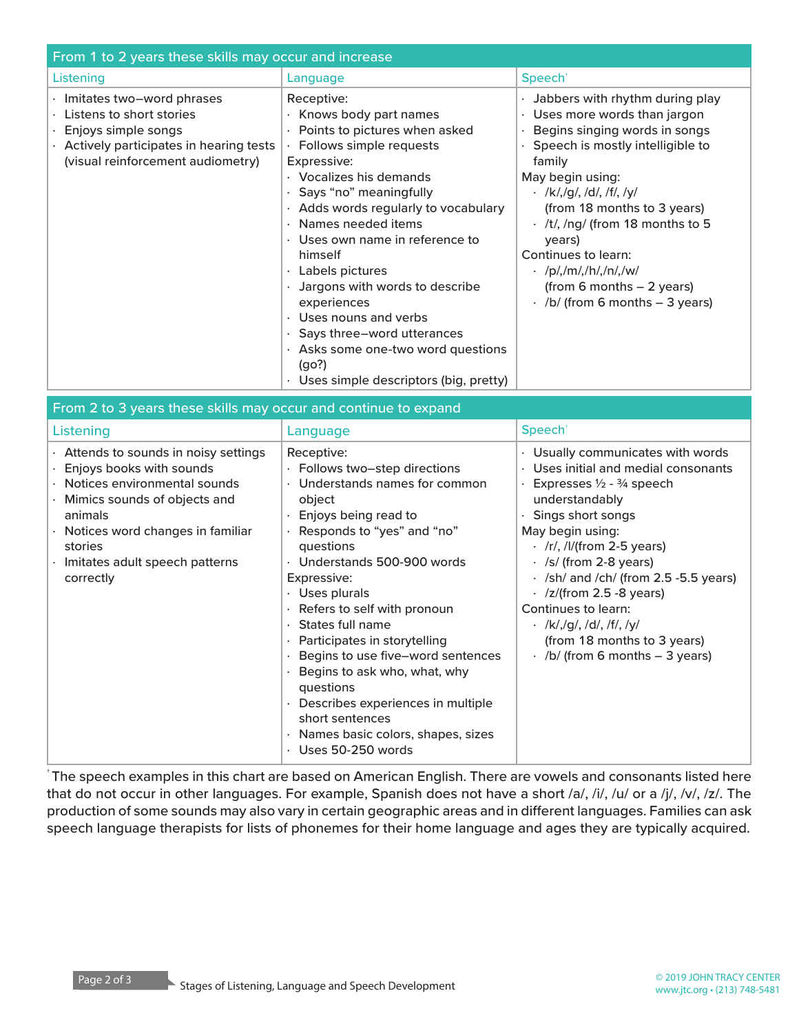| From 1 to 2 years these skills may occur and increase                                                                                                               |                                                                                                                                                                                                                                                                                                                                                                                                                                                                                                                                   |                                                                                                                                                                                                                                                                                                                                                                                                                           |  |
|---------------------------------------------------------------------------------------------------------------------------------------------------------------------|-----------------------------------------------------------------------------------------------------------------------------------------------------------------------------------------------------------------------------------------------------------------------------------------------------------------------------------------------------------------------------------------------------------------------------------------------------------------------------------------------------------------------------------|---------------------------------------------------------------------------------------------------------------------------------------------------------------------------------------------------------------------------------------------------------------------------------------------------------------------------------------------------------------------------------------------------------------------------|--|
| Listening                                                                                                                                                           | Language                                                                                                                                                                                                                                                                                                                                                                                                                                                                                                                          | Speech <sup>®</sup>                                                                                                                                                                                                                                                                                                                                                                                                       |  |
| Imitates two-word phrases<br>Listens to short stories<br>Enjoys simple songs<br>$\cdot$ Actively participates in hearing tests<br>(visual reinforcement audiometry) | Receptive:<br>Knows body part names<br>Points to pictures when asked<br>Follows simple requests<br>Expressive:<br>· Vocalizes his demands<br>· Says "no" meaningfully<br>· Adds words regularly to vocabulary<br>$\cdot$ Names needed items<br>$\cdot$ Uses own name in reference to<br>himself<br>Labels pictures<br>Jargons with words to describe<br>experiences<br>$\cdot$ Uses nouns and verbs<br>· Says three-word utterances<br>$\cdot$ Asks some one-two word questions<br>(qo?)<br>Uses simple descriptors (big, pretty) | · Jabbers with rhythm during play<br>· Uses more words than jargon<br>Begins singing words in songs<br>$\cdot$ Speech is mostly intelligible to<br>family<br>May begin using:<br>$\cdot$ /k/,/g/, /d/, /f/, /y/<br>(from 18 months to 3 years)<br>$\cdot$ /t/, /ng/ (from 18 months to 5<br>years)<br>Continues to learn:<br>· /p/,/m/,/h/,/n/,/w/<br>(from 6 months $-2$ years)<br>$\cdot$ /b/ (from 6 months – 3 years) |  |

| From 2 to 3 years these skills may occur and continue to expand                                                                                                                                                                                          |                                                                                                                                                                                                                                                                                                                                                                                                                                                                                                                                                                     |                                                                                                                                                                                                                                                                                                                                                                                                                                                                            |  |
|----------------------------------------------------------------------------------------------------------------------------------------------------------------------------------------------------------------------------------------------------------|---------------------------------------------------------------------------------------------------------------------------------------------------------------------------------------------------------------------------------------------------------------------------------------------------------------------------------------------------------------------------------------------------------------------------------------------------------------------------------------------------------------------------------------------------------------------|----------------------------------------------------------------------------------------------------------------------------------------------------------------------------------------------------------------------------------------------------------------------------------------------------------------------------------------------------------------------------------------------------------------------------------------------------------------------------|--|
| Listening                                                                                                                                                                                                                                                | Language                                                                                                                                                                                                                                                                                                                                                                                                                                                                                                                                                            | Speech <sup>+</sup>                                                                                                                                                                                                                                                                                                                                                                                                                                                        |  |
| $\cdot$ Attends to sounds in noisy settings<br>Enjoys books with sounds<br>Notices environmental sounds<br>Mimics sounds of objects and<br>animals<br>$\cdot$ Notices word changes in familiar<br>stories<br>Imitates adult speech patterns<br>correctly | Receptive:<br>· Follows two-step directions<br>• Understands names for common<br>object<br>$\cdot$ Enjoys being read to<br>· Responds to "yes" and "no"<br>questions<br>· Understands 500-900 words<br>Expressive:<br>· Uses plurals<br>· Refers to self with pronoun<br>$\cdot$ States full name<br>· Participates in storytelling<br>· Begins to use five-word sentences<br>· Begins to ask who, what, why<br>questions<br>$\cdot$ Describes experiences in multiple<br>short sentences<br>$\cdot$ Names basic colors, shapes, sizes<br>$\cdot$ Uses 50-250 words | · Usually communicates with words<br>Uses initial and medial consonants<br>Expresses $\frac{1}{2}$ - $\frac{3}{4}$ speech<br>understandably<br>Sings short songs<br>May begin using:<br>$\cdot$ /r/, /l/(from 2-5 years)<br>$\cdot$ /s/ (from 2-8 years)<br>$\cdot$ /sh/ and /ch/ (from 2.5 -5.5 years)<br>$\cdot$ /z/(from 2.5 -8 years)<br>Continues to learn:<br>$\cdot$ /k/,/g/, /d/, /f/, /y/<br>(from 18 months to 3 years)<br>$\cdot$ /b/ (from 6 months - 3 years) |  |

† The speech examples in this chart are based on American English. There are vowels and consonants listed here that do not occur in other languages. For example, Spanish does not have a short /a/, /i/, /u/ or a /j/, /v/, /z/. The production of some sounds may also vary in certain geographic areas and in different languages. Families can ask speech language therapists for lists of phonemes for their home language and ages they are typically acquired.